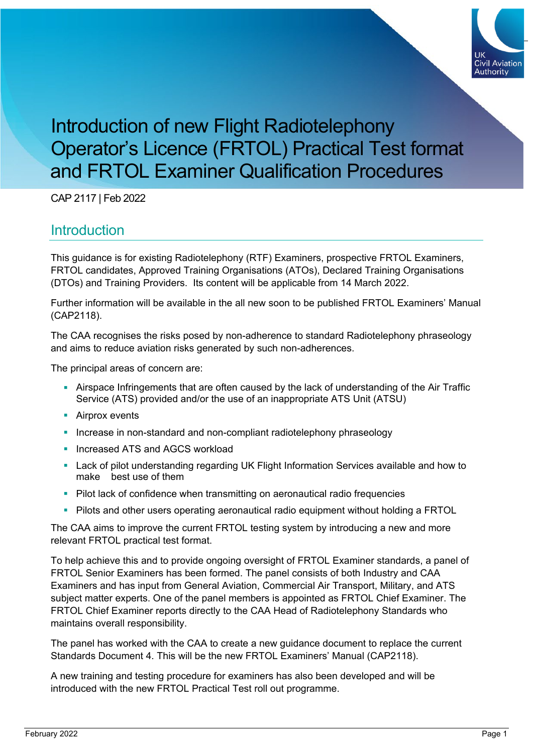

# Introduction of new Flight Radiotelephony Operator's Licence (FRTOL) Practical Test format and FRTOL Examiner Qualification Procedures

CAP 2117 | Feb 2022

#### **Introduction**

This guidance is for existing Radiotelephony (RTF) Examiners, prospective FRTOL Examiners, FRTOL candidates, Approved Training Organisations (ATOs), Declared Training Organisations (DTOs) and Training Providers. Its content will be applicable from 14 March 2022.

Further information will be available in the all new soon to be published FRTOL Examiners' Manual (CAP2118).

The CAA recognises the risks posed by non-adherence to standard Radiotelephony phraseology and aims to reduce aviation risks generated by such non-adherences.

The principal areas of concern are:

- Airspace Infringements that are often caused by the lack of understanding of the Air Traffic Service (ATS) provided and/or the use of an inappropriate ATS Unit (ATSU)
- **Airprox events**
- **Increase in non-standard and non-compliant radiotelephony phraseology**
- **Increased ATS and AGCS workload**
- Lack of pilot understanding regarding UK Flight Information Services available and how to make best use of them
- **Pilot lack of confidence when transmitting on aeronautical radio frequencies**
- **Pilots and other users operating aeronautical radio equipment without holding a FRTOL**

The CAA aims to improve the current FRTOL testing system by introducing a new and more relevant FRTOL practical test format.

To help achieve this and to provide ongoing oversight of FRTOL Examiner standards, a panel of FRTOL Senior Examiners has been formed. The panel consists of both Industry and CAA Examiners and has input from General Aviation, Commercial Air Transport, Military, and ATS subject matter experts. One of the panel members is appointed as FRTOL Chief Examiner. The FRTOL Chief Examiner reports directly to the CAA Head of Radiotelephony Standards who maintains overall responsibility.

The panel has worked with the CAA to create a new guidance document to replace the current Standards Document 4. This will be the new FRTOL Examiners' Manual (CAP2118).

A new training and testing procedure for examiners has also been developed and will be introduced with the new FRTOL Practical Test roll out programme.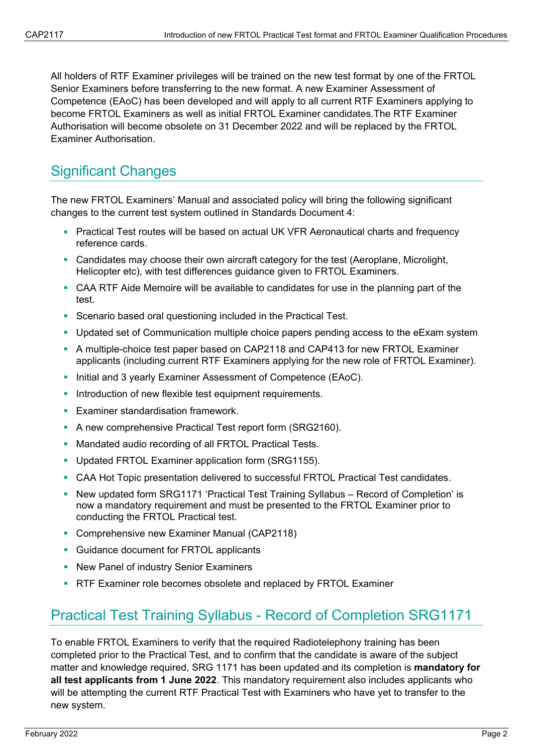All holders of RTF Examiner privileges will be trained on the new test format by one of the FRTOL Senior Examiners before transferring to the new format. A new Examiner Assessment of Competence (EAoC) has been developed and will apply to all current RTF Examiners applying to become FRTOL Examiners as well as initial FRTOL Examiner candidates.The RTF Examiner Authorisation will become obsolete on 31 December 2022 and will be replaced by the FRTOL Examiner Authorisation.

## Significant Changes

The new FRTOL Examiners' Manual and associated policy will bring the following significant changes to the current test system outlined in Standards Document 4:

- **Practical Test routes will be based on actual UK VFR Aeronautical charts and frequency** reference cards.
- Candidates may choose their own aircraft category for the test (Aeroplane, Microlight, Helicopter etc), with test differences guidance given to FRTOL Examiners.
- CAA RTF Aide Memoire will be available to candidates for use in the planning part of the test.
- **Scenario based oral questioning included in the Practical Test.**
- Updated set of Communication multiple choice papers pending access to the eExam system
- A multiple-choice test paper based on CAP2118 and CAP413 for new FRTOL Examiner applicants (including current RTF Examiners applying for the new role of FRTOL Examiner).
- **Initial and 3 yearly Examiner Assessment of Competence (EAoC).**
- **Introduction of new flexible test equipment requirements.**
- **Examiner standardisation framework.**
- A new comprehensive Practical Test report form (SRG2160).
- **Mandated audio recording of all FRTOL Practical Tests.**
- **Updated FRTOL Examiner application form (SRG1155).**
- CAA Hot Topic presentation delivered to successful FRTOL Practical Test candidates.
- New updated form SRG1171 'Practical Test Training Syllabus Record of Completion' is now a mandatory requirement and must be presented to the FRTOL Examiner prior to conducting the FRTOL Practical test.
- **Comprehensive new Examiner Manual (CAP2118)**
- **Guidance document for FRTOL applicants**
- New Panel of industry Senior Examiners
- **RTF Examiner role becomes obsolete and replaced by FRTOL Examiner**

# Practical Test Training Syllabus - Record of Completion SRG1171

To enable FRTOL Examiners to verify that the required Radiotelephony training has been completed prior to the Practical Test, and to confirm that the candidate is aware of the subject matter and knowledge required, SRG 1171 has been updated and its completion is **mandatory for all test applicants from 1 June 2022**. This mandatory requirement also includes applicants who will be attempting the current RTF Practical Test with Examiners who have yet to transfer to the new system.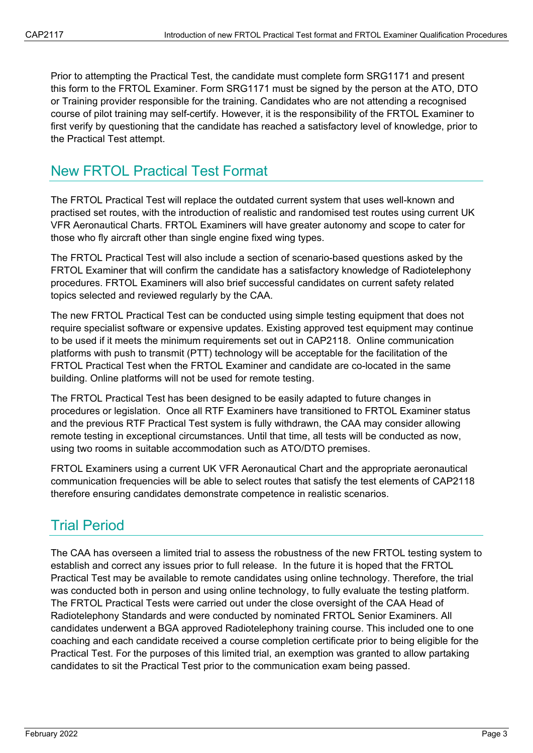Prior to attempting the Practical Test, the candidate must complete form SRG1171 and present this form to the FRTOL Examiner. Form SRG1171 must be signed by the person at the ATO, DTO or Training provider responsible for the training. Candidates who are not attending a recognised course of pilot training may self-certify. However, it is the responsibility of the FRTOL Examiner to first verify by questioning that the candidate has reached a satisfactory level of knowledge, prior to the Practical Test attempt.

#### New FRTOL Practical Test Format

The FRTOL Practical Test will replace the outdated current system that uses well-known and practised set routes, with the introduction of realistic and randomised test routes using current UK VFR Aeronautical Charts. FRTOL Examiners will have greater autonomy and scope to cater for those who fly aircraft other than single engine fixed wing types.

The FRTOL Practical Test will also include a section of scenario-based questions asked by the FRTOL Examiner that will confirm the candidate has a satisfactory knowledge of Radiotelephony procedures. FRTOL Examiners will also brief successful candidates on current safety related topics selected and reviewed regularly by the CAA.

The new FRTOL Practical Test can be conducted using simple testing equipment that does not require specialist software or expensive updates. Existing approved test equipment may continue to be used if it meets the minimum requirements set out in CAP2118. Online communication platforms with push to transmit (PTT) technology will be acceptable for the facilitation of the FRTOL Practical Test when the FRTOL Examiner and candidate are co-located in the same building. Online platforms will not be used for remote testing.

The FRTOL Practical Test has been designed to be easily adapted to future changes in procedures or legislation. Once all RTF Examiners have transitioned to FRTOL Examiner status and the previous RTF Practical Test system is fully withdrawn, the CAA may consider allowing remote testing in exceptional circumstances. Until that time, all tests will be conducted as now, using two rooms in suitable accommodation such as ATO/DTO premises.

FRTOL Examiners using a current UK VFR Aeronautical Chart and the appropriate aeronautical communication frequencies will be able to select routes that satisfy the test elements of CAP2118 therefore ensuring candidates demonstrate competence in realistic scenarios.

# Trial Period

The CAA has overseen a limited trial to assess the robustness of the new FRTOL testing system to establish and correct any issues prior to full release. In the future it is hoped that the FRTOL Practical Test may be available to remote candidates using online technology. Therefore, the trial was conducted both in person and using online technology, to fully evaluate the testing platform. The FRTOL Practical Tests were carried out under the close oversight of the CAA Head of Radiotelephony Standards and were conducted by nominated FRTOL Senior Examiners. All candidates underwent a BGA approved Radiotelephony training course. This included one to one coaching and each candidate received a course completion certificate prior to being eligible for the Practical Test. For the purposes of this limited trial, an exemption was granted to allow partaking candidates to sit the Practical Test prior to the communication exam being passed.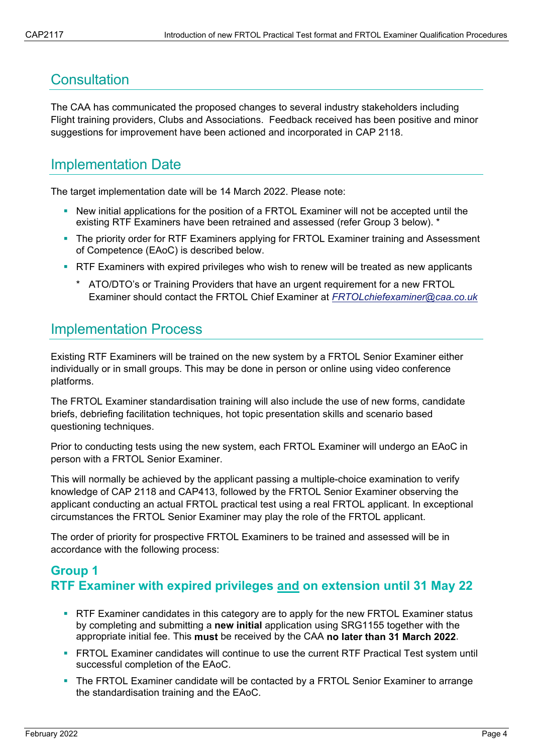#### **Consultation**

The CAA has communicated the proposed changes to several industry stakeholders including Flight training providers, Clubs and Associations. Feedback received has been positive and minor suggestions for improvement have been actioned and incorporated in CAP 2118.

#### Implementation Date

The target implementation date will be 14 March 2022. Please note:

- New initial applications for the position of a FRTOL Examiner will not be accepted until the existing RTF Examiners have been retrained and assessed (refer Group 3 below). \*
- The priority order for RTF Examiners applying for FRTOL Examiner training and Assessment of Competence (EAoC) is described below.
- **RTF Examiners with expired privileges who wish to renew will be treated as new applicants** 
	- \* ATO/DTO's or Training Providers that have an urgent requirement for a new FRTOL Examiner should contact the FRTOL Chief Examiner at *[FRTOLchiefexaminer@caa.co.uk](mailto:FRTOLchiefexaminer@caa.co.uk)*

## Implementation Process

Existing RTF Examiners will be trained on the new system by a FRTOL Senior Examiner either individually or in small groups. This may be done in person or online using video conference platforms.

The FRTOL Examiner standardisation training will also include the use of new forms, candidate briefs, debriefing facilitation techniques, hot topic presentation skills and scenario based questioning techniques.

Prior to conducting tests using the new system, each FRTOL Examiner will undergo an EAoC in person with a FRTOL Senior Examiner.

This will normally be achieved by the applicant passing a multiple-choice examination to verify knowledge of CAP 2118 and CAP413, followed by the FRTOL Senior Examiner observing the applicant conducting an actual FRTOL practical test using a real FRTOL applicant. In exceptional circumstances the FRTOL Senior Examiner may play the role of the FRTOL applicant.

The order of priority for prospective FRTOL Examiners to be trained and assessed will be in accordance with the following process:

#### **Group 1 RTF Examiner with expired privileges and on extension until 31 May 22**

- **RTF Examiner candidates in this category are to apply for the new FRTOL Examiner status** by completing and submitting a **new initial** application using SRG1155 together with the appropriate initial fee. This **must** be received by the CAA **no later than 31 March 2022**.
- **FRTOL Examiner candidates will continue to use the current RTF Practical Test system until** successful completion of the EAoC.
- The FRTOL Examiner candidate will be contacted by a FRTOL Senior Examiner to arrange the standardisation training and the EAoC.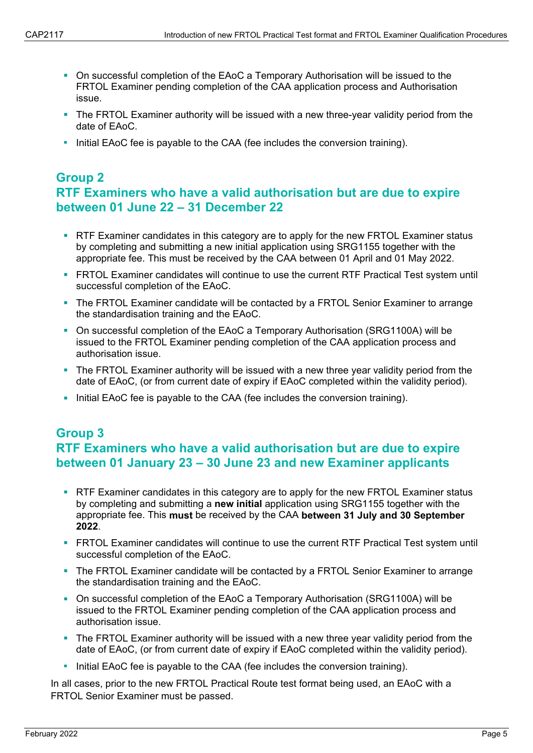- On successful completion of the EAoC a Temporary Authorisation will be issued to the FRTOL Examiner pending completion of the CAA application process and Authorisation issue.
- The FRTOL Examiner authority will be issued with a new three-year validity period from the date of EAoC.
- Initial EAoC fee is payable to the CAA (fee includes the conversion training).

## **Group 2**

#### **RTF Examiners who have a valid authorisation but are due to expire between 01 June 22 – 31 December 22**

- RTF Examiner candidates in this category are to apply for the new FRTOL Examiner status by completing and submitting a new initial application using SRG1155 together with the appropriate fee. This must be received by the CAA between 01 April and 01 May 2022.
- FRTOL Examiner candidates will continue to use the current RTF Practical Test system until successful completion of the EAoC.
- The FRTOL Examiner candidate will be contacted by a FRTOL Senior Examiner to arrange the standardisation training and the EAoC.
- On successful completion of the EAoC a Temporary Authorisation (SRG1100A) will be issued to the FRTOL Examiner pending completion of the CAA application process and authorisation issue.
- The FRTOL Examiner authority will be issued with a new three year validity period from the date of EAoC, (or from current date of expiry if EAoC completed within the validity period).
- Initial EAoC fee is payable to the CAA (fee includes the conversion training).

#### **Group 3 RTF Examiners who have a valid authorisation but are due to expire between 01 January 23 – 30 June 23 and new Examiner applicants**

- **RTF Examiner candidates in this category are to apply for the new FRTOL Examiner status** by completing and submitting a **new initial** application using SRG1155 together with the appropriate fee. This **must** be received by the CAA **between 31 July and 30 September 2022**.
- **FRTOL Examiner candidates will continue to use the current RTF Practical Test system until** successful completion of the EAoC.
- The FRTOL Examiner candidate will be contacted by a FRTOL Senior Examiner to arrange the standardisation training and the EAoC.
- On successful completion of the EAoC a Temporary Authorisation (SRG1100A) will be issued to the FRTOL Examiner pending completion of the CAA application process and authorisation issue.
- The FRTOL Examiner authority will be issued with a new three year validity period from the date of EAoC, (or from current date of expiry if EAoC completed within the validity period).
- Initial EAoC fee is payable to the CAA (fee includes the conversion training).

In all cases, prior to the new FRTOL Practical Route test format being used, an EAoC with a FRTOL Senior Examiner must be passed.